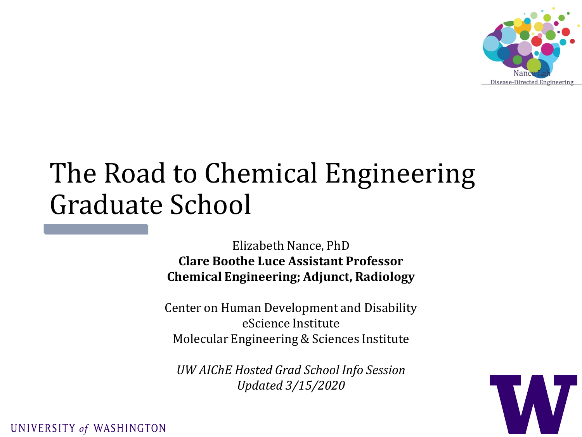

# The Road to Chemical Engineering Graduate School

Elizabeth Nance, PhD **Clare Boothe Luce Assistant Professor Chemical Engineering; Adjunct, Radiology**

Center on Human Development and Disability eScience Institute Molecular Engineering & Sciences Institute

*UW AIChE Hosted Grad School Info Session Updated 3/15/2020*

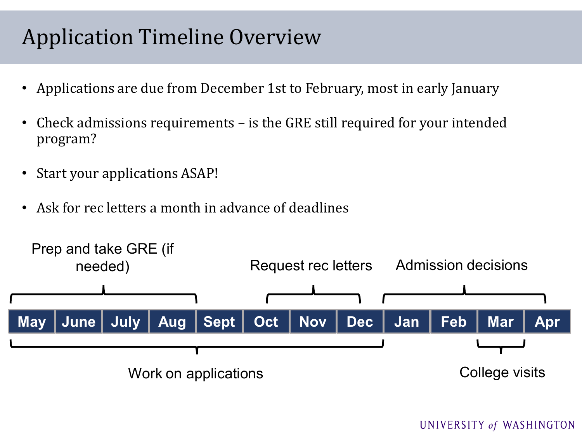### Application Timeline Overview

- Applications are due from December 1st to February, most in early January
- Check admissions requirements is the GRE still required for your intended program?
- Start your applications ASAP!
- Ask for rec letters a month in advance of deadlines

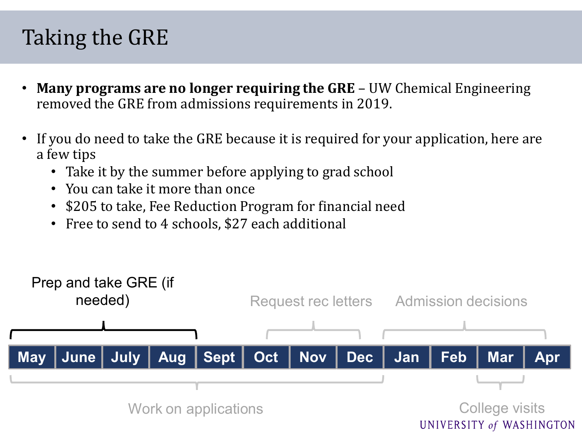# Taking the GRE

- **Many programs are no longer requiring the GRE**  UW Chemical Engineering removed the GRE from admissions requirements in 2019.
- If you do need to take the GRE because it is required for your application, here are a few tips
	- Take it by the summer before applying to grad school
	- You can take it more than once
	- \$205 to take, Fee Reduction Program for financial need
	- Free to send to 4 schools, \$27 each additional

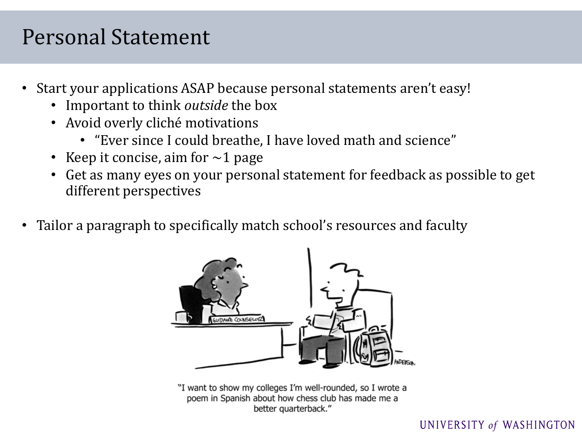#### Personal Statement

- Start your applications ASAP because personal statements aren't easy!
	- Important to think *outside* the box
	- Avoid overly cliché motivations
		- "Ever since I could breathe, I have loved math and science"
	- Keep it concise, aim for  $\sim$ 1 page
	- Get as many eyes on your personal statement for feedback as possible to get different perspectives
- Tailor a paragraph to specifically match school's resources and faculty



"I want to show my colleges I'm well-rounded, so I wrote a poem in Spanish about how chess club has made me a better quarterback."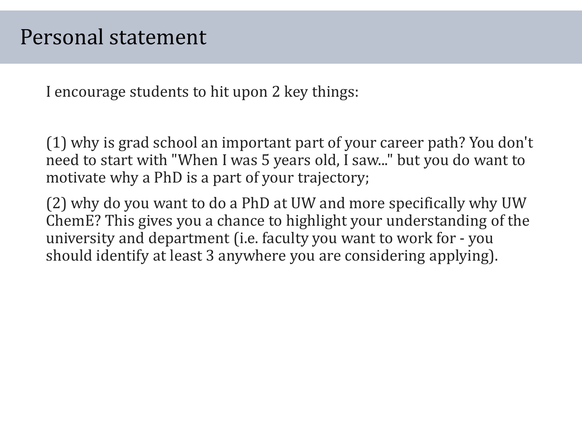I encourage students to hit upon 2 key things:

(1) why is grad school an important part of your career path? You don't need to start with "When I was 5 years old, I saw..." but you do want to motivate why a PhD is a part of your trajectory;

(2) why do you want to do a PhD at UW and more specifically why UW ChemE? This gives you a chance to highlight your understanding of the university and department (i.e. faculty you want to work for - you should identify at least 3 anywhere you are considering applying).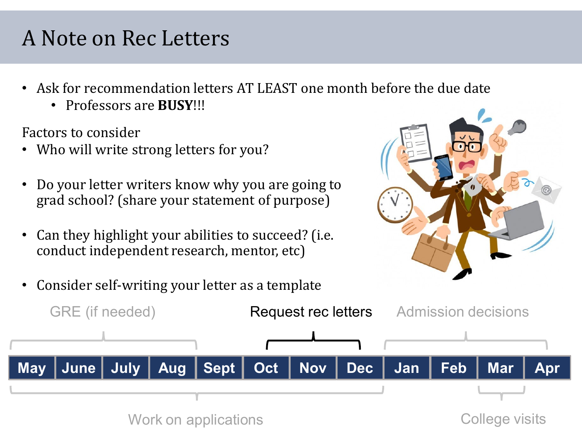# A Note on Rec Letters

- Ask for recommendation letters AT LEAST one month [before the due date](https://www.conditionforlife.com/im-too-busy-to-reach-my-goals/)
	- Professors are **BUSY**!!!

Factors to consider

- Who will write strong letters for you?
- Do your letter writers know why you are going to grad school? (share your statement of purpose)
- Can they highlight your abilities to succeed? (i.e. conduct independent research, mentor, etc)

• Consider self-writing your letter as a template



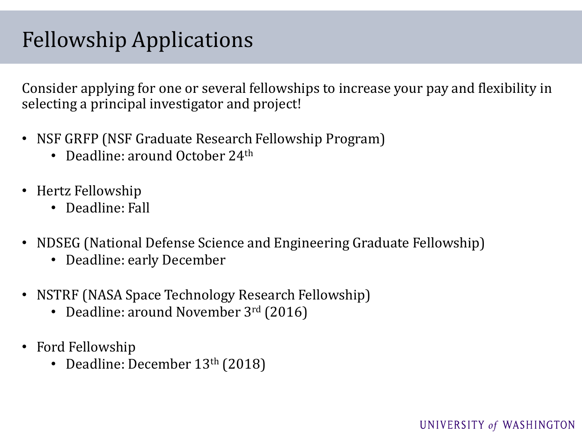### Fellowship Applications

Consider applying for one or several fellowships to increase your pay and flexibility in selecting a principal investigator and project!

- NSF GRFP (NSF Graduate Research Fellowship Program)
	- Deadline: around October 24<sup>th</sup>
- Hertz Fellowship
	- Deadline: Fall
- NDSEG (National Defense Science and Engineering Graduate Fellowship)
	- Deadline: early December
- NSTRF (NASA Space Technology Research Fellowship)
	- Deadline: around November 3rd (2016)
- Ford Fellowship
	- Deadline: December 13<sup>th</sup> (2018)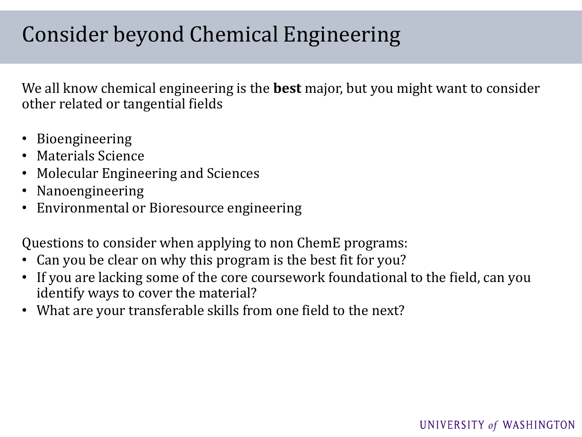# Consider beyond Chemical Engineering

We all know chemical engineering is the **best** major, but you might want to consider other related or tangential fields

- Bioengineering
- Materials Science
- Molecular Engineering and Sciences
- Nanoengineering
- Environmental or Bioresource engineering

Questions to consider when applying to non ChemE programs:

- Can you be clear on why this program is the best fit for you?
- If you are lacking some of the core coursework foundational to the field, can you identify ways to cover the material?
- What are your transferable skills from one field to the next?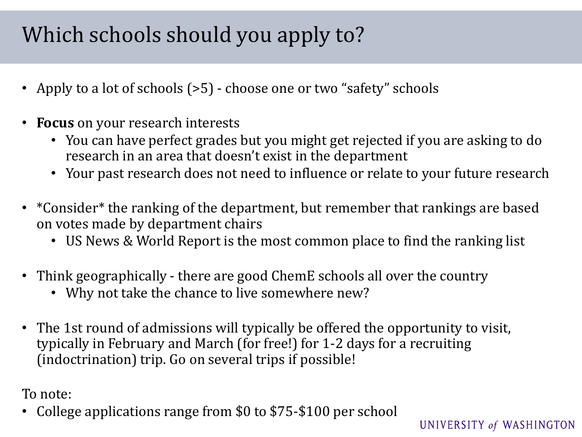# Which schools should you apply to?

- Apply to a lot of schools (>5) choose one or two "safety" schools
- **Focus** on your research interests
	- You can have perfect grades but you might get rejected if you are asking to do research in an area that doesn't exist in the department
	- Your past research does not need to influence or relate to your future research
- \*Consider\* the ranking of the department, but remember that rankings are based on votes made by department chairs
	- US News & World Report is the most common place to find the ranking list
- Think geographically there are good ChemE schools all over the country
	- Why not take the chance to live somewhere new?
- The 1st round of admissions will typically be offered the opportunity to visit, typically in February and March (for free!) for 1-2 days for a recruiting (indoctrination) trip. Go on several trips if possible!

To note:

• College applications range from \$0 to \$75-\$100 per school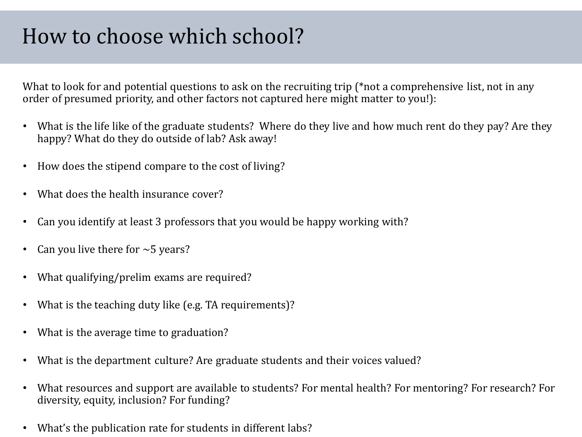# How to choose which school?

What to look for and potential questions to ask on the recruiting trip (\*not a comprehensive list, not in any order of presumed priority, and other factors not captured here might matter to you!):

- What is the life like of the graduate students? Where do they live and how much rent do they pay? Are they happy? What do they do outside of lab? Ask away!
- How does the stipend compare to the cost of living?
- What does the health insurance cover?
- Can you identify at least 3 professors that you would be happy working with?
- Can you live there for  $\sim$  5 years?
- What qualifying/prelim exams are required?
- What is the teaching duty like (e.g. TA requirements)?
- What is the average time to graduation?
- What is the department culture? Are graduate students and their voices valued?
- What resources and support are available to students? For mental health? For mentoring? For research? For diversity, equity, inclusion? For funding?
- What's the publication rate for students in different labs?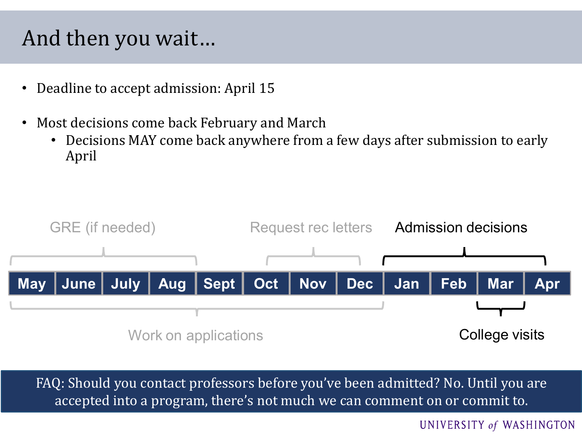### And then you wait…

- Deadline to accept admission: April 15
- Most decisions come back February and March
	- Decisions MAY come back anywhere from a few days after submission to early April



FAQ: Should you contact professors before you've been admitted? No. Until you are accepted into a program, there's not much we can comment on or commit to.